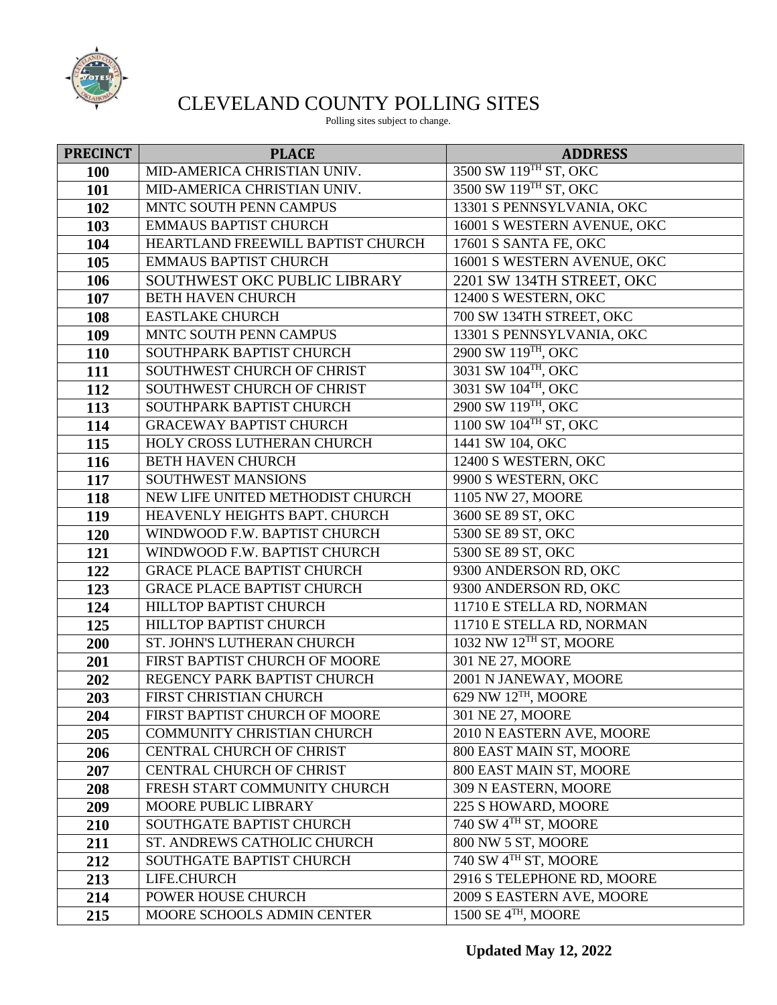

## CLEVELAND COUNTY POLLING SITES

Polling sites subject to change.

| <b>PRECINCT</b> | <b>PLACE</b>                      | <b>ADDRESS</b>                     |
|-----------------|-----------------------------------|------------------------------------|
| 100             | MID-AMERICA CHRISTIAN UNIV.       | 3500 SW 119TH ST, OKC              |
| 101             | MID-AMERICA CHRISTIAN UNIV.       | 3500 SW 119TH ST, OKC              |
| 102             | MNTC SOUTH PENN CAMPUS            | 13301 S PENNSYLVANIA, OKC          |
| 103             | <b>EMMAUS BAPTIST CHURCH</b>      | 16001 S WESTERN AVENUE, OKC        |
| 104             | HEARTLAND FREEWILL BAPTIST CHURCH | 17601 S SANTA FE, OKC              |
| 105             | <b>EMMAUS BAPTIST CHURCH</b>      | 16001 S WESTERN AVENUE, OKC        |
| 106             | SOUTHWEST OKC PUBLIC LIBRARY      | 2201 SW 134TH STREET, OKC          |
| 107             | <b>BETH HAVEN CHURCH</b>          | 12400 S WESTERN, OKC               |
| 108             | <b>EASTLAKE CHURCH</b>            | 700 SW 134TH STREET, OKC           |
| 109             | MNTC SOUTH PENN CAMPUS            | 13301 S PENNSYLVANIA, OKC          |
| 110             | SOUTHPARK BAPTIST CHURCH          | 2900 SW 119TH, OKC                 |
| 111             | SOUTHWEST CHURCH OF CHRIST        | 3031 SW 104TH, OKC                 |
| 112             | SOUTHWEST CHURCH OF CHRIST        | 3031 SW 104TH, OKC                 |
| 113             | SOUTHPARK BAPTIST CHURCH          | 2900 SW 119TH, OKC                 |
| 114             | <b>GRACEWAY BAPTIST CHURCH</b>    | 1100 SW 104TH ST, OKC              |
| 115             | HOLY CROSS LUTHERAN CHURCH        | 1441 SW 104, OKC                   |
| 116             | <b>BETH HAVEN CHURCH</b>          | 12400 S WESTERN, OKC               |
| 117             | <b>SOUTHWEST MANSIONS</b>         | 9900 S WESTERN, OKC                |
| 118             | NEW LIFE UNITED METHODIST CHURCH  | 1105 NW 27, MOORE                  |
| 119             | HEAVENLY HEIGHTS BAPT. CHURCH     | 3600 SE 89 ST, OKC                 |
| 120             | WINDWOOD F.W. BAPTIST CHURCH      | 5300 SE 89 ST, OKC                 |
| 121             | WINDWOOD F.W. BAPTIST CHURCH      | 5300 SE 89 ST, OKC                 |
| 122             | <b>GRACE PLACE BAPTIST CHURCH</b> | 9300 ANDERSON RD, OKC              |
| 123             | <b>GRACE PLACE BAPTIST CHURCH</b> | 9300 ANDERSON RD, OKC              |
| 124             | HILLTOP BAPTIST CHURCH            | 11710 E STELLA RD, NORMAN          |
| 125             | HILLTOP BAPTIST CHURCH            | 11710 E STELLA RD, NORMAN          |
| 200             | ST. JOHN'S LUTHERAN CHURCH        | 1032 NW 12 <sup>TH</sup> ST, MOORE |
| 201             | FIRST BAPTIST CHURCH OF MOORE     | 301 NE 27, MOORE                   |
| 202             | REGENCY PARK BAPTIST CHURCH       | 2001 N JANEWAY, MOORE              |
| 203             | FIRST CHRISTIAN CHURCH            | 629 NW 12TH, MOORE                 |
| 204             | FIRST BAPTIST CHURCH OF MOORE     | 301 NE 27, MOORE                   |
| 205             | COMMUNITY CHRISTIAN CHURCH        | 2010 N EASTERN AVE, MOORE          |
| 206             | CENTRAL CHURCH OF CHRIST          | 800 EAST MAIN ST, MOORE            |
| 207             | CENTRAL CHURCH OF CHRIST          | 800 EAST MAIN ST, MOORE            |
| 208             | FRESH START COMMUNITY CHURCH      | 309 N EASTERN, MOORE               |
| 209             | MOORE PUBLIC LIBRARY              | 225 S HOWARD, MOORE                |
| 210             | SOUTHGATE BAPTIST CHURCH          | 740 SW 4TH ST, MOORE               |
| 211             | ST. ANDREWS CATHOLIC CHURCH       | 800 NW 5 ST, MOORE                 |
| 212             | <b>SOUTHGATE BAPTIST CHURCH</b>   | 740 SW 4TH ST, MOORE               |
| 213             | LIFE.CHURCH                       | 2916 S TELEPHONE RD, MOORE         |
| 214             | POWER HOUSE CHURCH                | 2009 S EASTERN AVE, MOORE          |
| 215             | MOORE SCHOOLS ADMIN CENTER        | 1500 SE $4TH$ , MOORE              |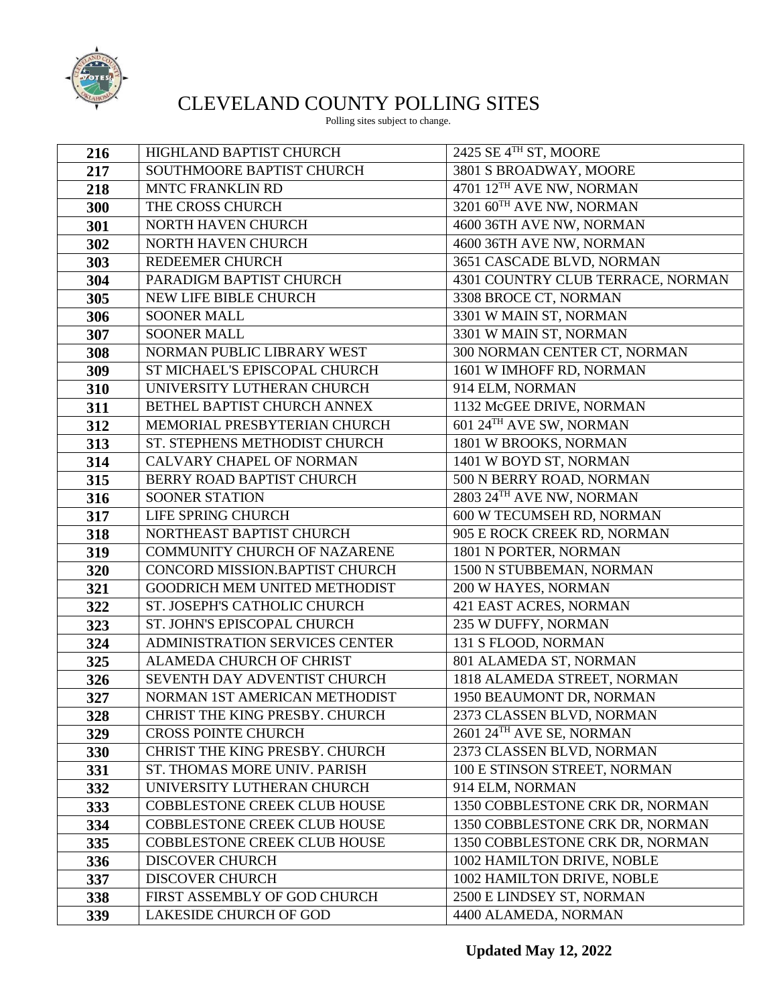

## CLEVELAND COUNTY POLLING SITES

Polling sites subject to change.

| 216 | HIGHLAND BAPTIST CHURCH             | 2425 SE 4TH ST, MOORE             |
|-----|-------------------------------------|-----------------------------------|
| 217 | SOUTHMOORE BAPTIST CHURCH           | 3801 S BROADWAY, MOORE            |
| 218 | <b>MNTC FRANKLIN RD</b>             | 4701 12TH AVE NW, NORMAN          |
| 300 | THE CROSS CHURCH                    | 3201 60TH AVE NW, NORMAN          |
| 301 | NORTH HAVEN CHURCH                  | 4600 36TH AVE NW, NORMAN          |
| 302 | NORTH HAVEN CHURCH                  | 4600 36TH AVE NW, NORMAN          |
| 303 | REDEEMER CHURCH                     | 3651 CASCADE BLVD, NORMAN         |
| 304 | PARADIGM BAPTIST CHURCH             | 4301 COUNTRY CLUB TERRACE, NORMAN |
| 305 | <b>NEW LIFE BIBLE CHURCH</b>        | 3308 BROCE CT, NORMAN             |
| 306 | <b>SOONER MALL</b>                  | 3301 W MAIN ST, NORMAN            |
| 307 | <b>SOONER MALL</b>                  | 3301 W MAIN ST, NORMAN            |
| 308 | NORMAN PUBLIC LIBRARY WEST          | 300 NORMAN CENTER CT, NORMAN      |
| 309 | ST MICHAEL'S EPISCOPAL CHURCH       | 1601 W IMHOFF RD, NORMAN          |
| 310 | UNIVERSITY LUTHERAN CHURCH          | 914 ELM, NORMAN                   |
| 311 | BETHEL BAPTIST CHURCH ANNEX         | 1132 McGEE DRIVE, NORMAN          |
| 312 | MEMORIAL PRESBYTERIAN CHURCH        | 601 24TH AVE SW, NORMAN           |
| 313 | ST. STEPHENS METHODIST CHURCH       | 1801 W BROOKS, NORMAN             |
| 314 | <b>CALVARY CHAPEL OF NORMAN</b>     | 1401 W BOYD ST, NORMAN            |
| 315 | BERRY ROAD BAPTIST CHURCH           | 500 N BERRY ROAD, NORMAN          |
| 316 | <b>SOONER STATION</b>               | 2803 24TH AVE NW, NORMAN          |
| 317 | LIFE SPRING CHURCH                  | 600 W TECUMSEH RD, NORMAN         |
| 318 | NORTHEAST BAPTIST CHURCH            | 905 E ROCK CREEK RD, NORMAN       |
| 319 | COMMUNITY CHURCH OF NAZARENE        | 1801 N PORTER, NORMAN             |
| 320 | CONCORD MISSION.BAPTIST CHURCH      | 1500 N STUBBEMAN, NORMAN          |
| 321 | GOODRICH MEM UNITED METHODIST       | 200 W HAYES, NORMAN               |
| 322 | ST. JOSEPH'S CATHOLIC CHURCH        | 421 EAST ACRES, NORMAN            |
| 323 | ST. JOHN'S EPISCOPAL CHURCH         | 235 W DUFFY, NORMAN               |
| 324 | ADMINISTRATION SERVICES CENTER      | 131 S FLOOD, NORMAN               |
| 325 | ALAMEDA CHURCH OF CHRIST            | 801 ALAMEDA ST, NORMAN            |
| 326 | SEVENTH DAY ADVENTIST CHURCH        | 1818 ALAMEDA STREET, NORMAN       |
| 327 | NORMAN 1ST AMERICAN METHODIST       | 1950 BEAUMONT DR, NORMAN          |
| 328 | CHRIST THE KING PRESBY. CHURCH      | 2373 CLASSEN BLVD, NORMAN         |
| 329 | <b>CROSS POINTE CHURCH</b>          | 2601 24TH AVE SE, NORMAN          |
| 330 | CHRIST THE KING PRESBY. CHURCH      | 2373 CLASSEN BLVD, NORMAN         |
| 331 | ST. THOMAS MORE UNIV. PARISH        | 100 E STINSON STREET, NORMAN      |
| 332 | UNIVERSITY LUTHERAN CHURCH          | 914 ELM, NORMAN                   |
| 333 | <b>COBBLESTONE CREEK CLUB HOUSE</b> | 1350 COBBLESTONE CRK DR, NORMAN   |
| 334 | <b>COBBLESTONE CREEK CLUB HOUSE</b> | 1350 COBBLESTONE CRK DR, NORMAN   |
| 335 | <b>COBBLESTONE CREEK CLUB HOUSE</b> | 1350 COBBLESTONE CRK DR, NORMAN   |
| 336 | <b>DISCOVER CHURCH</b>              | 1002 HAMILTON DRIVE, NOBLE        |
| 337 | <b>DISCOVER CHURCH</b>              | 1002 HAMILTON DRIVE, NOBLE        |
| 338 | FIRST ASSEMBLY OF GOD CHURCH        | 2500 E LINDSEY ST, NORMAN         |
| 339 | LAKESIDE CHURCH OF GOD              | 4400 ALAMEDA, NORMAN              |